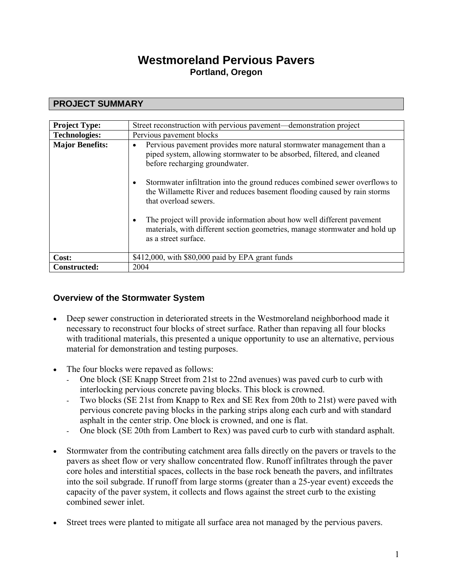# **Westmoreland Pervious Pavers Portland, Oregon**

## **PROJECT SUMMARY**

| <b>Project Type:</b>   | Street reconstruction with pervious pavement—demonstration project                                                                                                                                                                                                                                                                                                                                                                                                                                                                                                                            |
|------------------------|-----------------------------------------------------------------------------------------------------------------------------------------------------------------------------------------------------------------------------------------------------------------------------------------------------------------------------------------------------------------------------------------------------------------------------------------------------------------------------------------------------------------------------------------------------------------------------------------------|
| <b>Technologies:</b>   | Pervious pavement blocks                                                                                                                                                                                                                                                                                                                                                                                                                                                                                                                                                                      |
| <b>Major Benefits:</b> | Pervious pavement provides more natural stormwater management than a<br>$\bullet$<br>piped system, allowing stormwater to be absorbed, filtered, and cleaned<br>before recharging groundwater.<br>Stormwater infiltration into the ground reduces combined sewer overflows to<br>$\bullet$<br>the Willamette River and reduces basement flooding caused by rain storms<br>that overload sewers.<br>The project will provide information about how well different payement<br>$\bullet$<br>materials, with different section geometries, manage stormwater and hold up<br>as a street surface. |
| Cost:                  | \$412,000, with \$80,000 paid by EPA grant funds                                                                                                                                                                                                                                                                                                                                                                                                                                                                                                                                              |
| Constructed:           | 2004                                                                                                                                                                                                                                                                                                                                                                                                                                                                                                                                                                                          |

## **Overview of the Stormwater System**

- Deep sewer construction in deteriorated streets in the Westmoreland neighborhood made it necessary to reconstruct four blocks of street surface. Rather than repaving all four blocks with traditional materials, this presented a unique opportunity to use an alternative, pervious material for demonstration and testing purposes.
- The four blocks were repaved as follows:
	- One block (SE Knapp Street from 21st to 22nd avenues) was paved curb to curb with interlocking pervious concrete paving blocks. This block is crowned.
	- Two blocks (SE 21st from Knapp to Rex and SE Rex from 20th to 21st) were paved with pervious concrete paving blocks in the parking strips along each curb and with standard asphalt in the center strip. One block is crowned, and one is flat.
	- One block (SE 20th from Lambert to Rex) was paved curb to curb with standard asphalt.
- Stormwater from the contributing catchment area falls directly on the pavers or travels to the pavers as sheet flow or very shallow concentrated flow. Runoff infiltrates through the paver core holes and interstitial spaces, collects in the base rock beneath the pavers, and infiltrates into the soil subgrade. If runoff from large storms (greater than a 25-year event) exceeds the capacity of the paver system, it collects and flows against the street curb to the existing combined sewer inlet.
- Street trees were planted to mitigate all surface area not managed by the pervious pavers.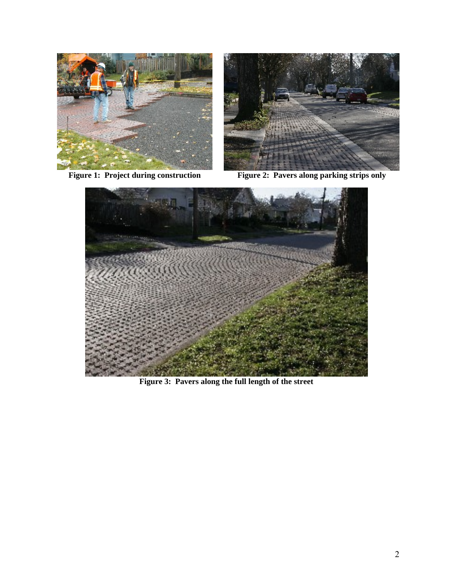



**Figure 1: Project during construction Figure 2: Pavers along parking strips only**



**Figure 3: Pavers along the full length of the street**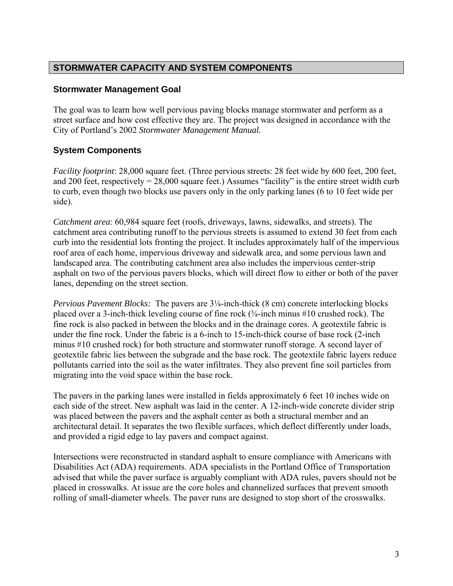### **STORMWATER CAPACITY AND SYSTEM COMPONENTS**

### **Stormwater Management Goal**

The goal was to learn how well pervious paving blocks manage stormwater and perform as a street surface and how cost effective they are. The project was designed in accordance with the City of Portland's 2002 *Stormwater Management Manual.*

## **System Components**

*Facility footprint*: 28,000 square feet. (Three pervious streets: 28 feet wide by 600 feet, 200 feet, and 200 feet, respectively  $= 28,000$  square feet.) Assumes "facility" is the entire street width curb to curb, even though two blocks use pavers only in the only parking lanes (6 to 10 feet wide per side).

*Catchment area*: 60,984 square feet (roofs, driveways, lawns, sidewalks, and streets). The catchment area contributing runoff to the pervious streets is assumed to extend 30 feet from each curb into the residential lots fronting the project. It includes approximately half of the impervious roof area of each home, impervious driveway and sidewalk area, and some pervious lawn and landscaped area. The contributing catchment area also includes the impervious center-strip asphalt on two of the pervious pavers blocks, which will direct flow to either or both of the paver lanes, depending on the street section.

*Pervious Pavement Blocks:* The pavers are 3⅛-inch-thick (8 cm) concrete interlocking blocks placed over a 3-inch-thick leveling course of fine rock (⅜-inch minus #10 crushed rock). The fine rock is also packed in between the blocks and in the drainage cores. A geotextile fabric is under the fine rock. Under the fabric is a 6-inch to 15-inch-thick course of base rock (2-inch minus #10 crushed rock) for both structure and stormwater runoff storage. A second layer of geotextile fabric lies between the subgrade and the base rock. The geotextile fabric layers reduce pollutants carried into the soil as the water infiltrates. They also prevent fine soil particles from migrating into the void space within the base rock.

The pavers in the parking lanes were installed in fields approximately 6 feet 10 inches wide on each side of the street. New asphalt was laid in the center. A 12-inch-wide concrete divider strip was placed between the pavers and the asphalt center as both a structural member and an architectural detail. It separates the two flexible surfaces, which deflect differently under loads, and provided a rigid edge to lay pavers and compact against.

Intersections were reconstructed in standard asphalt to ensure compliance with Americans with Disabilities Act (ADA) requirements. ADA specialists in the Portland Office of Transportation advised that while the paver surface is arguably compliant with ADA rules, pavers should not be placed in crosswalks. At issue are the core holes and channelized surfaces that prevent smooth rolling of small-diameter wheels. The paver runs are designed to stop short of the crosswalks.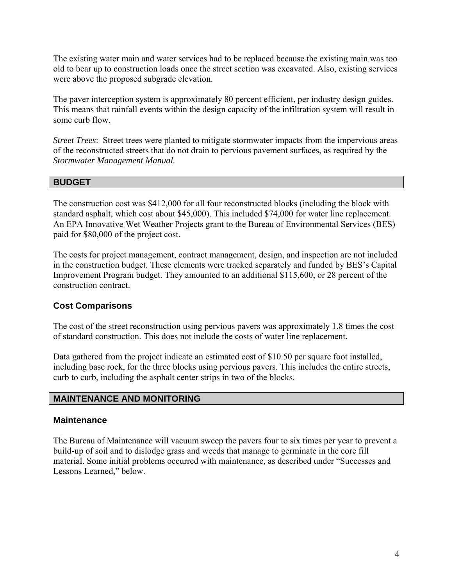The existing water main and water services had to be replaced because the existing main was too old to bear up to construction loads once the street section was excavated. Also, existing services were above the proposed subgrade elevation.

The paver interception system is approximately 80 percent efficient, per industry design guides. This means that rainfall events within the design capacity of the infiltration system will result in some curb flow.

*Street Trees*: Street trees were planted to mitigate stormwater impacts from the impervious areas of the reconstructed streets that do not drain to pervious pavement surfaces, as required by the *Stormwater Management Manual.*

### **BUDGET**

The construction cost was \$412,000 for all four reconstructed blocks (including the block with standard asphalt, which cost about \$45,000). This included \$74,000 for water line replacement. An EPA Innovative Wet Weather Projects grant to the Bureau of Environmental Services (BES) paid for \$80,000 of the project cost.

The costs for project management, contract management, design, and inspection are not included in the construction budget. These elements were tracked separately and funded by BES's Capital Improvement Program budget. They amounted to an additional \$115,600, or 28 percent of the construction contract.

### **Cost Comparisons**

The cost of the street reconstruction using pervious pavers was approximately 1.8 times the cost of standard construction. This does not include the costs of water line replacement.

Data gathered from the project indicate an estimated cost of \$10.50 per square foot installed, including base rock, for the three blocks using pervious pavers. This includes the entire streets, curb to curb, including the asphalt center strips in two of the blocks.

#### **MAINTENANCE AND MONITORING**

#### **Maintenance**

The Bureau of Maintenance will vacuum sweep the pavers four to six times per year to prevent a build-up of soil and to dislodge grass and weeds that manage to germinate in the core fill material. Some initial problems occurred with maintenance, as described under "Successes and Lessons Learned," below.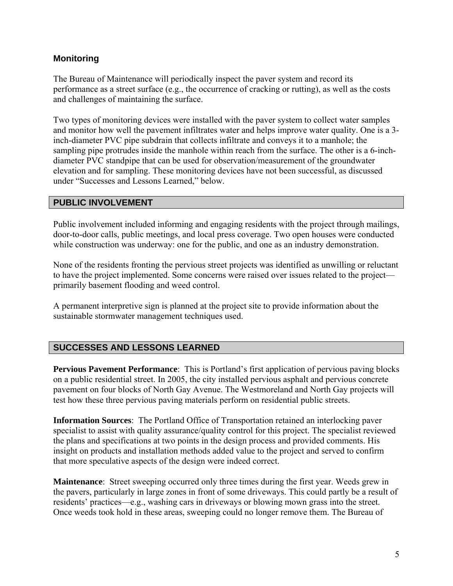### **Monitoring**

The Bureau of Maintenance will periodically inspect the paver system and record its performance as a street surface (e.g., the occurrence of cracking or rutting), as well as the costs and challenges of maintaining the surface.

Two types of monitoring devices were installed with the paver system to collect water samples and monitor how well the pavement infiltrates water and helps improve water quality. One is a 3 inch-diameter PVC pipe subdrain that collects infiltrate and conveys it to a manhole; the sampling pipe protrudes inside the manhole within reach from the surface. The other is a 6-inchdiameter PVC standpipe that can be used for observation/measurement of the groundwater elevation and for sampling. These monitoring devices have not been successful, as discussed under "Successes and Lessons Learned," below.

#### **PUBLIC INVOLVEMENT**

Public involvement included informing and engaging residents with the project through mailings, door-to-door calls, public meetings, and local press coverage. Two open houses were conducted while construction was underway: one for the public, and one as an industry demonstration.

None of the residents fronting the pervious street projects was identified as unwilling or reluctant to have the project implemented. Some concerns were raised over issues related to the project primarily basement flooding and weed control.

A permanent interpretive sign is planned at the project site to provide information about the sustainable stormwater management techniques used.

### **SUCCESSES AND LESSONS LEARNED**

**Pervious Pavement Performance**: This is Portland's first application of pervious paving blocks on a public residential street. In 2005, the city installed pervious asphalt and pervious concrete pavement on four blocks of North Gay Avenue. The Westmoreland and North Gay projects will test how these three pervious paving materials perform on residential public streets.

**Information Sources**: The Portland Office of Transportation retained an interlocking paver specialist to assist with quality assurance/quality control for this project. The specialist reviewed the plans and specifications at two points in the design process and provided comments. His insight on products and installation methods added value to the project and served to confirm that more speculative aspects of the design were indeed correct.

**Maintenance**: Street sweeping occurred only three times during the first year. Weeds grew in the pavers, particularly in large zones in front of some driveways. This could partly be a result of residents' practices—e.g., washing cars in driveways or blowing mown grass into the street. Once weeds took hold in these areas, sweeping could no longer remove them. The Bureau of